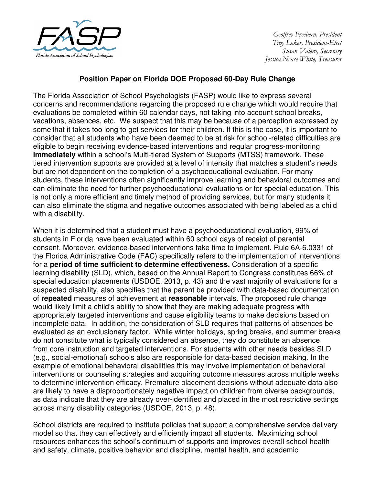

Geoffrey Freebern, President Troy Loker, President-Elect Susan Valero, Secretary Jessica Nease White, Treasurer

## **Position Paper on Florida DOE Proposed 60-Day Rule Change**

The Florida Association of School Psychologists (FASP) would like to express several concerns and recommendations regarding the proposed rule change which would require that evaluations be completed within 60 calendar days, not taking into account school breaks, vacations, absences, etc. We suspect that this may be because of a perception expressed by some that it takes too long to get services for their children. If this is the case, it is important to consider that all students who have been deemed to be at risk for school-related difficulties are eligible to begin receiving evidence-based interventions and regular progress-monitoring **immediately** within a school's Multi-tiered System of Supports (MTSS) framework. These tiered intervention supports are provided at a level of intensity that matches a student's needs but are not dependent on the completion of a psychoeducational evaluation. For many students, these interventions often significantly improve learning and behavioral outcomes and can eliminate the need for further psychoeducational evaluations or for special education. This is not only a more efficient and timely method of providing services, but for many students it can also eliminate the stigma and negative outcomes associated with being labeled as a child with a disability.

When it is determined that a student must have a psychoeducational evaluation, 99% of students in Florida have been evaluated within 60 school days of receipt of parental consent. Moreover, evidence-based interventions take time to implement. Rule 6A-6.0331 of the Florida Administrative Code (FAC) specifically refers to the implementation of interventions for a **period of time sufficient to determine effectiveness.** Consideration of a specific learning disability (SLD), which, based on the Annual Report to Congress constitutes 66% of special education placements (USDOE, 2013, p. 43) and the vast majority of evaluations for a suspected disability, also specifies that the parent be provided with data‐based documentation of **repeated** measures of achievement at **reasonable** intervals. The proposed rule change would likely limit a child's ability to show that they are making adequate progress with appropriately targeted interventions and cause eligibility teams to make decisions based on incomplete data. In addition, the consideration of SLD requires that patterns of absences be evaluated as an exclusionary factor. While winter holidays, spring breaks, and summer breaks do not constitute what is typically considered an absence, they do constitute an absence from core instruction and targeted interventions. For students with other needs besides SLD (e.g., social-emotional) schools also are responsible for data-based decision making. In the example of emotional behavioral disabilities this may involve implementation of behavioral interventions or counseling strategies and acquiring outcome measures across multiple weeks to determine intervention efficacy. Premature placement decisions without adequate data also are likely to have a disproportionately negative impact on children from diverse backgrounds, as data indicate that they are already over-identified and placed in the most restrictive settings across many disability categories (USDOE, 2013, p. 48).

School districts are required to institute policies that support a comprehensive service delivery model so that they can effectively and efficiently impact all students. Maximizing school resources enhances the school's continuum of supports and improves overall school health and safety, climate, positive behavior and discipline, mental health, and academic